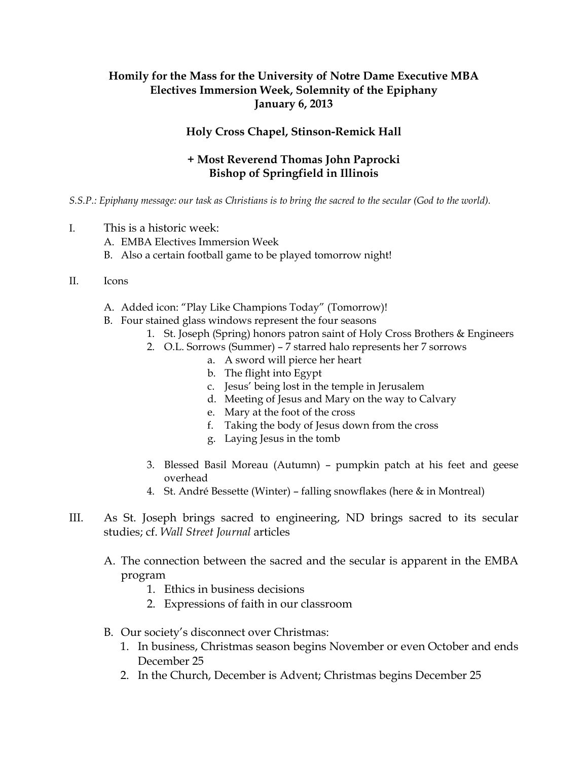## **Homily for the Mass for the University of Notre Dame Executive MBA Electives Immersion Week, Solemnity of the Epiphany January 6, 2013**

## **Holy Cross Chapel, Stinson-Remick Hall**

## **+ Most Reverend Thomas John Paprocki Bishop of Springfield in Illinois**

*S.S.P.: Epiphany message: our task as Christians is to bring the sacred to the secular (God to the world).*

- I. This is a historic week:
	- A. EMBA Electives Immersion Week
	- B. Also a certain football game to be played tomorrow night!

## II. Icons

- A. Added icon: "Play Like Champions Today" (Tomorrow)!
- B. Four stained glass windows represent the four seasons
	- 1. St. Joseph (Spring) honors patron saint of Holy Cross Brothers & Engineers
	- 2. O.L. Sorrows (Summer) 7 starred halo represents her 7 sorrows
		- a. A sword will pierce her heart
			- b. The flight into Egypt
			- c. Jesus' being lost in the temple in Jerusalem
			- d. Meeting of Jesus and Mary on the way to Calvary
			- e. Mary at the foot of the cross
			- f. Taking the body of Jesus down from the cross
			- g. Laying Jesus in the tomb
	- 3. Blessed Basil Moreau (Autumn) pumpkin patch at his feet and geese overhead
	- 4. St. André Bessette (Winter) falling snowflakes (here & in Montreal)
- III. As St. Joseph brings sacred to engineering, ND brings sacred to its secular studies; cf. *Wall Street Journal* articles
	- A. The connection between the sacred and the secular is apparent in the EMBA program
		- 1. Ethics in business decisions
		- 2. Expressions of faith in our classroom
	- B. Our society's disconnect over Christmas:
		- 1. In business, Christmas season begins November or even October and ends December 25
		- 2. In the Church, December is Advent; Christmas begins December 25